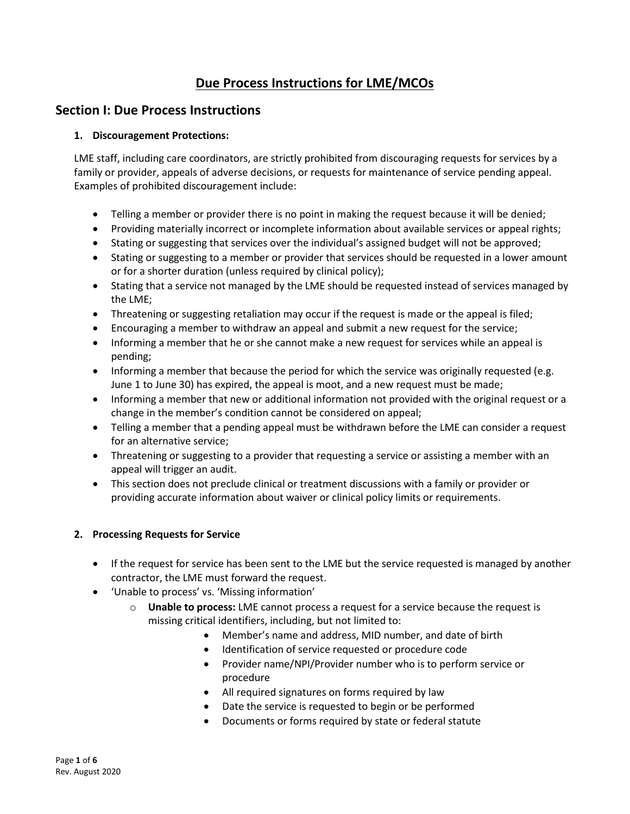# **Due Process Instructions for LME/MCOs**

# **Section I: Due Process Instructions**

### **1. Discouragement Protections:**

LME staff, including care coordinators, are strictly prohibited from discouraging requests for services by a family or provider, appeals of adverse decisions, or requests for maintenance of service pending appeal. Examples of prohibited discouragement include:

- Telling a member or provider there is no point in making the request because it will be denied;
- Providing materially incorrect or incomplete information about available services or appeal rights;
- Stating or suggesting that services over the individual's assigned budget will not be approved;
- Stating or suggesting to a member or provider that services should be requested in a lower amount or for a shorter duration (unless required by clinical policy);
- Stating that a service not managed by the LME should be requested instead of services managed by the LME;
- Threatening or suggesting retaliation may occur if the request is made or the appeal is filed;
- Encouraging a member to withdraw an appeal and submit a new request for the service;
- Informing a member that he or she cannot make a new request for services while an appeal is pending;
- Informing a member that because the period for which the service was originally requested (e.g. June 1 to June 30) has expired, the appeal is moot, and a new request must be made;
- Informing a member that new or additional information not provided with the original request or a change in the member's condition cannot be considered on appeal;
- Telling a member that a pending appeal must be withdrawn before the LME can consider a request for an alternative service;
- Threatening or suggesting to a provider that requesting a service or assisting a member with an appeal will trigger an audit.
- This section does not preclude clinical or treatment discussions with a family or provider or providing accurate information about waiver or clinical policy limits or requirements.

#### **2. Processing Requests for Service**

- If the request for service has been sent to the LME but the service requested is managed by another contractor, the LME must forward the request.
- 'Unable to process' vs. 'Missing information'
	- o **Unable to process:** LME cannot process a request for a service because the request is missing critical identifiers, including, but not limited to:
		- Member's name and address, MID number, and date of birth
		- Identification of service requested or procedure code
		- Provider name/NPI/Provider number who is to perform service or procedure
		- All required signatures on forms required by law
		- Date the service is requested to begin or be performed
		- Documents or forms required by state or federal statute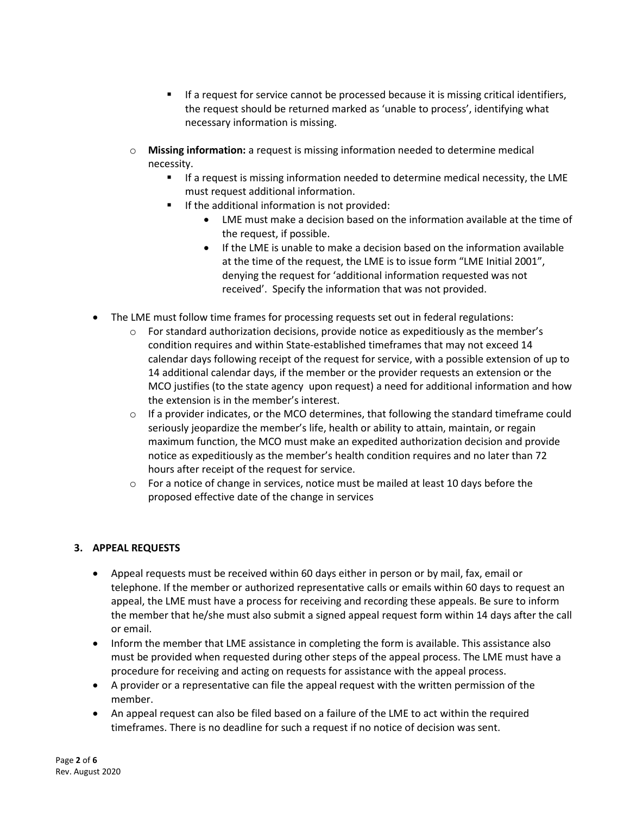- If a request for service cannot be processed because it is missing critical identifiers, the request should be returned marked as 'unable to process', identifying what necessary information is missing.
- o **Missing information:** a request is missing information needed to determine medical necessity.
	- If a request is missing information needed to determine medical necessity, the LME must request additional information.
	- If the additional information is not provided:
		- LME must make a decision based on the information available at the time of the request, if possible.
		- If the LME is unable to make a decision based on the information available at the time of the request, the LME is to issue form "LME Initial 2001", denying the request for 'additional information requested was not received'. Specify the information that was not provided.
- The LME must follow time frames for processing requests set out in federal regulations:
	- $\circ$  For standard authorization decisions, provide [notice](https://www.law.cornell.edu/definitions/index.php?width=840&height=800&iframe=true&def_id=056aed00403d12615cf8673ac47ed44e&term_occur=3&term_src=Title:42:Chapter:IV:Subchapter:C:Part:438:Subpart:D:438.210) as expeditiously as the member's condition requires and within [State-](https://www.law.cornell.edu/definitions/index.php?width=840&height=800&iframe=true&def_id=ca92247e53beeed90570e93dd9ef3baa&term_occur=7&term_src=Title:42:Chapter:IV:Subchapter:C:Part:438:Subpart:D:438.210)established timeframes that may not exceed 14 calendar days following receipt of the request for service, with a possible extension of up to 14 additional calendar days, if the member or the provider requests an extension or the MCO justifies (to the state agency upon request) a need for additional information and how the extension is in the member's interest.
	- $\circ$  If a provider indicates, or the MCO determines, that following the standard timeframe could seriously jeopardize the member's life, health or ability to attain, maintain, or regain maximum function, the MCO must make an expedited authorization decision and provide notice as expeditiously as the member's health condition requires and no later than 72 hours after receipt of the request for service.
	- $\circ$  For a notice of change in services, notice must be mailed at least 10 days before the proposed effective date of the change in services

### **3. APPEAL REQUESTS**

- Appeal requests must be received within 60 days either in person or by mail, fax, email or telephone. If the member or authorized representative calls or emails within 60 days to request an appeal, the LME must have a process for receiving and recording these appeals. Be sure to inform the member that he/she must also submit a signed appeal request form within 14 days after the call or email.
- Inform the member that LME assistance in completing the form is available. This assistance also must be provided when requested during other steps of the appeal process. The LME must have a procedure for receiving and acting on requests for assistance with the appeal process.
- A provider or a representative can file the appeal request with the written permission of the member.
- An appeal request can also be filed based on a failure of the LME to act within the required timeframes. There is no deadline for such a request if no notice of decision was sent.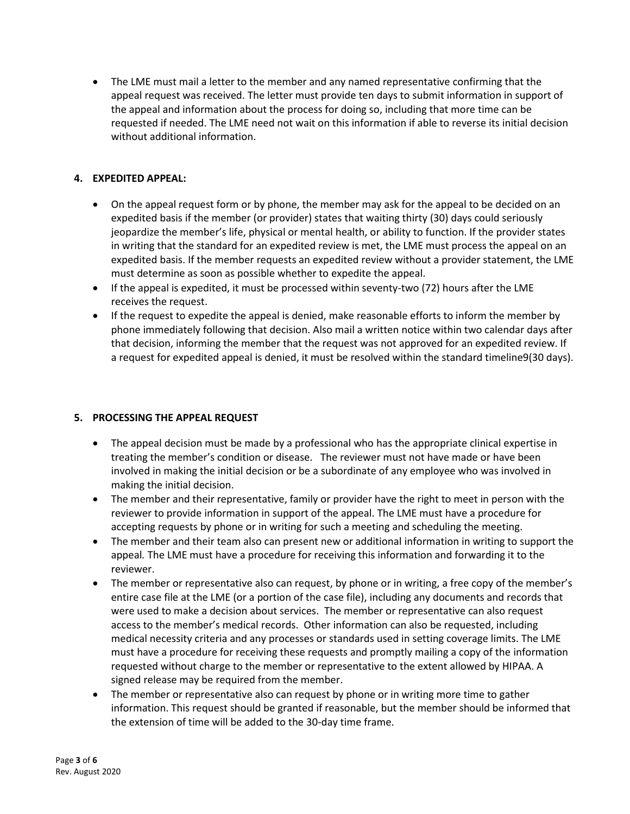• The LME must mail a letter to the member and any named representative confirming that the appeal request was received. The letter must provide ten days to submit information in support of the appeal and information about the process for doing so, including that more time can be requested if needed. The LME need not wait on this information if able to reverse its initial decision without additional information.

### **4. EXPEDITED APPEAL:**

- On the appeal request form or by phone, the member may ask for the appeal to be decided on an expedited basis if the member (or provider) states that waiting thirty (30) days could seriously jeopardize the member's life, physical or mental health, or ability to function. If the provider states in writing that the standard for an expedited review is met, the LME must process the appeal on an expedited basis. If the member requests an expedited review without a provider statement, the LME must determine as soon as possible whether to expedite the appeal.
- If the appeal is expedited, it must be processed within seventy-two (72) hours after the LME receives the request.
- If the request to expedite the appeal is denied, make reasonable efforts to inform the member by phone immediately following that decision. Also mail a written notice within two calendar days after that decision, informing the member that the request was not approved for an expedited review. If a request for expedited appeal is denied, it must be resolved within the standard timeline9(30 days).

#### **5. PROCESSING THE APPEAL REQUEST**

- The appeal decision must be made by a professional who has the appropriate clinical expertise in treating the member's condition or disease. The reviewer must not have made or have been involved in making the initial decision or be a subordinate of any employee who was involved in making the initial decision.
- The member and their representative, family or provider have the right to meet in person with the reviewer to provide information in support of the appeal. The LME must have a procedure for accepting requests by phone or in writing for such a meeting and scheduling the meeting.
- The member and their team also can present new or additional information in writing to support the appeal*.* The LME must have a procedure for receiving this information and forwarding it to the reviewer.
- The member or representative also can request, by phone or in writing, a free copy of the member's entire case file at the LME (or a portion of the case file), including any documents and records that were used to make a decision about services. The member or representative can also request access to the member's medical records. Other information can also be requested, including medical necessity criteria and any processes or standards used in setting coverage limits. The LME must have a procedure for receiving these requests and promptly mailing a copy of the information requested without charge to the member or representative to the extent allowed by HIPAA. A signed release may be required from the member.
- The member or representative also can request by phone or in writing more time to gather information. This request should be granted if reasonable, but the member should be informed that the extension of time will be added to the 30-day time frame.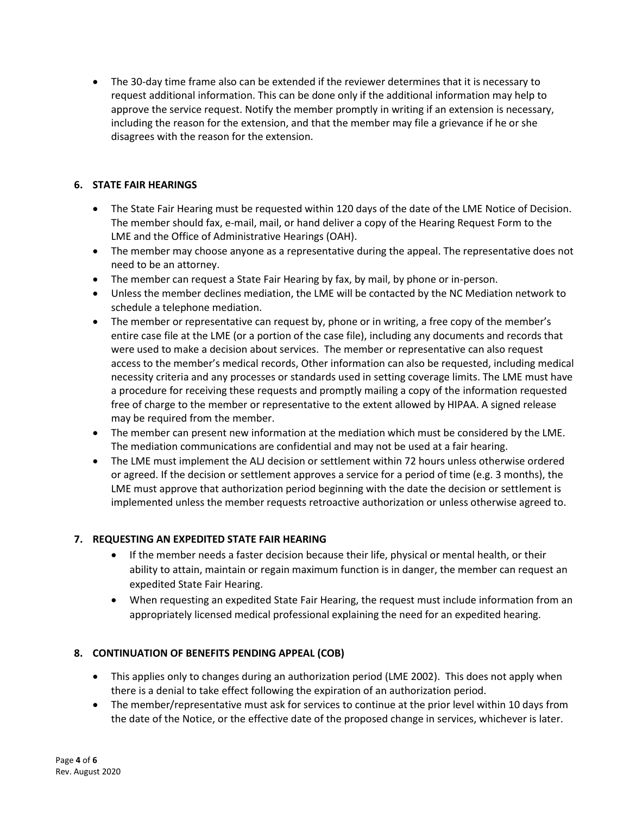• The 30-day time frame also can be extended if the reviewer determines that it is necessary to request additional information. This can be done only if the additional information may help to approve the service request. Notify the member promptly in writing if an extension is necessary, including the reason for the extension, and that the member may file a grievance if he or she disagrees with the reason for the extension.

# **6. STATE FAIR HEARINGS**

- The State Fair Hearing must be requested within 120 days of the date of the LME Notice of Decision. The member should fax, e-mail, mail, or hand deliver a copy of the Hearing Request Form to the LME and the Office of Administrative Hearings (OAH).
- The member may choose anyone as a representative during the appeal. The representative does not need to be an attorney.
- The member can request a State Fair Hearing by fax, by mail, by phone or in-person.
- Unless the member declines mediation, the LME will be contacted by the NC Mediation network to schedule a telephone mediation.
- The member or representative can request by, phone or in writing, a free copy of the member's entire case file at the LME (or a portion of the case file), including any documents and records that were used to make a decision about services. The member or representative can also request access to the member's medical records, Other information can also be requested, including medical necessity criteria and any processes or standards used in setting coverage limits. The LME must have a procedure for receiving these requests and promptly mailing a copy of the information requested free of charge to the member or representative to the extent allowed by HIPAA. A signed release may be required from the member.
- The member can present new information at the mediation which must be considered by the LME. The mediation communications are confidential and may not be used at a fair hearing.
- The LME must implement the ALJ decision or settlement within 72 hours unless otherwise ordered or agreed. If the decision or settlement approves a service for a period of time (e.g. 3 months), the LME must approve that authorization period beginning with the date the decision or settlement is implemented unless the member requests retroactive authorization or unless otherwise agreed to.

# **7. REQUESTING AN EXPEDITED STATE FAIR HEARING**

- If the member needs a faster decision because their life, physical or mental health, or their ability to attain, maintain or regain maximum function is in danger, the member can request an expedited State Fair Hearing.
- When requesting an expedited State Fair Hearing, the request must include information from an appropriately licensed medical professional explaining the need for an expedited hearing.

# **8. CONTINUATION OF BENEFITS PENDING APPEAL (COB)**

- This applies only to changes during an authorization period (LME 2002). This does not apply when there is a denial to take effect following the expiration of an authorization period.
- The member/representative must ask for services to continue at the prior level within 10 days from the date of the Notice, or the effective date of the proposed change in services, whichever is later.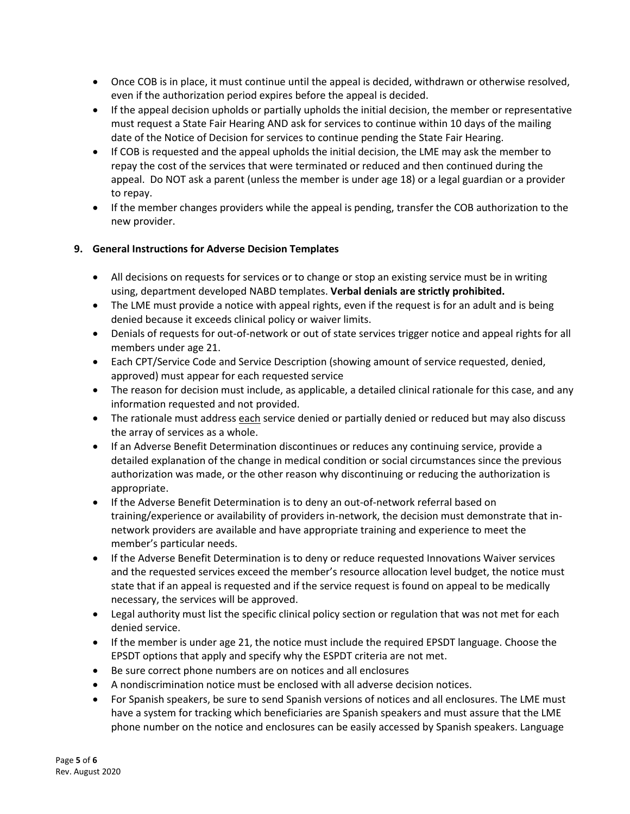- Once COB is in place, it must continue until the appeal is decided, withdrawn or otherwise resolved, even if the authorization period expires before the appeal is decided.
- If the appeal decision upholds or partially upholds the initial decision, the member or representative must request a State Fair Hearing AND ask for services to continue within 10 days of the mailing date of the Notice of Decision for services to continue pending the State Fair Hearing.
- If COB is requested and the appeal upholds the initial decision, the LME may ask the member to repay the cost of the services that were terminated or reduced and then continued during the appeal. Do NOT ask a parent (unless the member is under age 18) or a legal guardian or a provider to repay.
- If the member changes providers while the appeal is pending, transfer the COB authorization to the new provider.

# **9. General Instructions for Adverse Decision Templates**

- All decisions on requests for services or to change or stop an existing service must be in writing using, department developed NABD templates. **Verbal denials are strictly prohibited.**
- The LME must provide a notice with appeal rights, even if the request is for an adult and is being denied because it exceeds clinical policy or waiver limits.
- Denials of requests for out-of-network or out of state services trigger notice and appeal rights for all members under age 21.
- Each CPT/Service Code and Service Description (showing amount of service requested, denied, approved) must appear for each requested service
- The reason for decision must include, as applicable, a detailed clinical rationale for this case, and any information requested and not provided.
- The rationale must address each service denied or partially denied or reduced but may also discuss the array of services as a whole.
- If an Adverse Benefit Determination discontinues or reduces any continuing service, provide a detailed explanation of the change in medical condition or social circumstances since the previous authorization was made, or the other reason why discontinuing or reducing the authorization is appropriate.
- If the Adverse Benefit Determination is to deny an out-of-network referral based on training/experience or availability of providers in-network, the decision must demonstrate that innetwork providers are available and have appropriate training and experience to meet the member's particular needs.
- If the Adverse Benefit Determination is to deny or reduce requested Innovations Waiver services and the requested services exceed the member's resource allocation level budget, the notice must state that if an appeal is requested and if the service request is found on appeal to be medically necessary, the services will be approved.
- Legal authority must list the specific clinical policy section or regulation that was not met for each denied service.
- If the member is under age 21, the notice must include the required EPSDT language. Choose the EPSDT options that apply and specify why the ESPDT criteria are not met.
- Be sure correct phone numbers are on notices and all enclosures
- A nondiscrimination notice must be enclosed with all adverse decision notices.
- For Spanish speakers, be sure to send Spanish versions of notices and all enclosures. The LME must have a system for tracking which beneficiaries are Spanish speakers and must assure that the LME phone number on the notice and enclosures can be easily accessed by Spanish speakers. Language